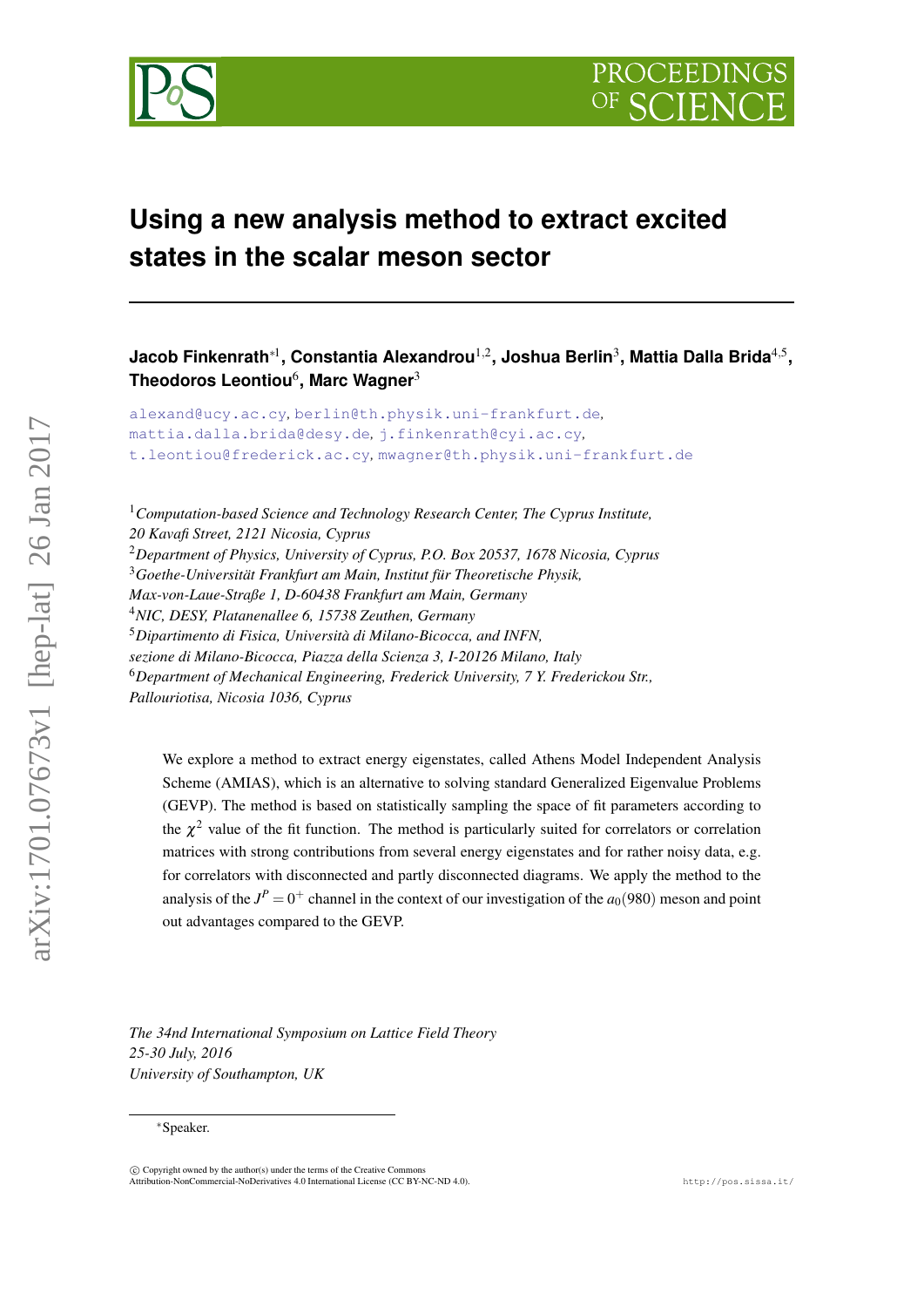

# **Using a new analysis method to extract excited states in the scalar meson sector**

**Jacob Finkenrath**∗<sup>1</sup> **, Constantia Alexandrou**1,<sup>2</sup> **, Joshua Berlin**<sup>3</sup> **, Mattia Dalla Brida**4,<sup>5</sup> **, Theodoros Leontiou**<sup>6</sup> **, Marc Wagner**<sup>3</sup>

[alexand@ucy.ac.cy](mailto:alexand@ucy.ac.cy)*,* [berlin@th.physik.uni-frankfurt.de](mailto:berlin@th.physik.uni-frankfurt.de)*,* [mattia.dalla.brida@desy.de](mailto:mattia.dalla.brida@desy.de)*,* [j.finkenrath@cyi.ac.cy](mailto:j.finkenrath@cyi.ac.cy)*,* [t.leontiou@frederick.ac.cy](mailto:t.leontiou@frederick.ac.cy)*,* [mwagner@th.physik.uni-frankfurt.de](mailto:mwagner@th.physik.uni-frankfurt.de)

<sup>1</sup>*Computation-based Science and Technology Research Center, The Cyprus Institute, 20 Kavafi Street, 2121 Nicosia, Cyprus* <sup>2</sup>*Department of Physics, University of Cyprus, P.O. Box 20537, 1678 Nicosia, Cyprus* <sup>3</sup>*Goethe-Universität Frankfurt am Main, Institut für Theoretische Physik, Max-von-Laue-Straße 1, D-60438 Frankfurt am Main, Germany* <sup>4</sup>*NIC, DESY, Platanenallee 6, 15738 Zeuthen, Germany* <sup>5</sup>*Dipartimento di Fisica, Università di Milano-Bicocca, and INFN, sezione di Milano-Bicocca, Piazza della Scienza 3, I-20126 Milano, Italy* <sup>6</sup>*Department of Mechanical Engineering, Frederick University, 7 Y. Frederickou Str., Pallouriotisa, Nicosia 1036, Cyprus*

We explore a method to extract energy eigenstates, called Athens Model Independent Analysis Scheme (AMIAS), which is an alternative to solving standard Generalized Eigenvalue Problems (GEVP). The method is based on statistically sampling the space of fit parameters according to the  $\chi^2$  value of the fit function. The method is particularly suited for correlators or correlation matrices with strong contributions from several energy eigenstates and for rather noisy data, e.g. for correlators with disconnected and partly disconnected diagrams. We apply the method to the analysis of the  $J^P = 0^+$  channel in the context of our investigation of the  $a_0(980)$  meson and point out advantages compared to the GEVP.

*The 34nd International Symposium on Lattice Field Theory 25-30 July, 2016 University of Southampton, UK*

<sup>∗</sup>Speaker.

 $\odot$  Copyright owned by the author(s) under the terms of the Creative Common Attribution-NonCommercial-NoDerivatives 4.0 International License (CC BY-NC-ND 4.0). http://pos.sissa.it/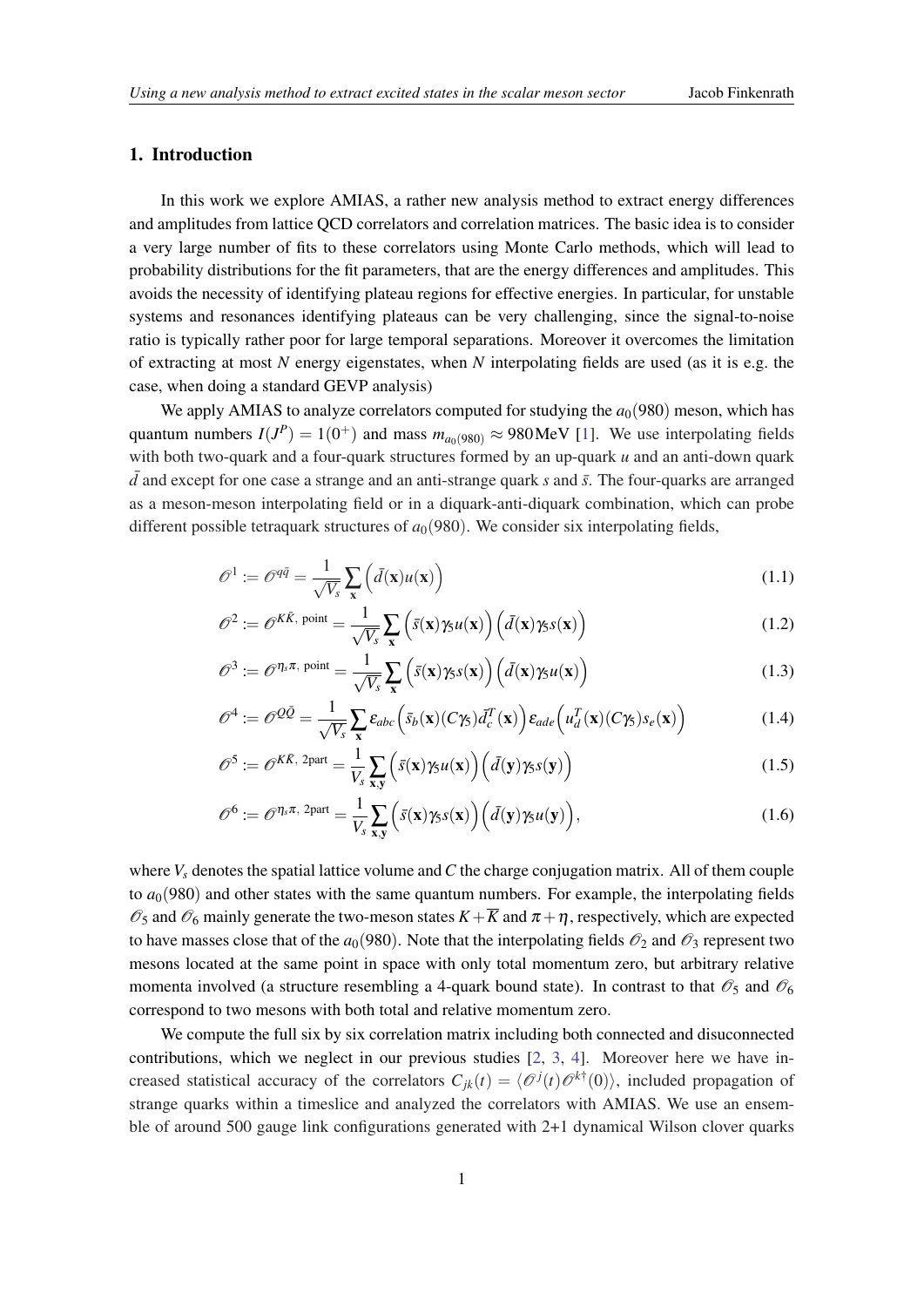# <span id="page-1-0"></span>1. Introduction

In this work we explore AMIAS, a rather new analysis method to extract energy differences and amplitudes from lattice QCD correlators and correlation matrices. The basic idea is to consider a very large number of fits to these correlators using Monte Carlo methods, which will lead to probability distributions for the fit parameters, that are the energy differences and amplitudes. This avoids the necessity of identifying plateau regions for effective energies. In particular, for unstable systems and resonances identifying plateaus can be very challenging, since the signal-to-noise ratio is typically rather poor for large temporal separations. Moreover it overcomes the limitation of extracting at most *N* energy eigenstates, when *N* interpolating fields are used (as it is e.g. the case, when doing a standard GEVP analysis)

We apply AMIAS to analyze correlators computed for studying the  $a<sub>0</sub>(980)$  meson, which has quantum numbers  $I(J^P) = 1(0^+)$  $I(J^P) = 1(0^+)$  $I(J^P) = 1(0^+)$  and mass  $m_{a_0(980)} \approx 980 \text{MeV}$  [1]. We use interpolating fields with both two-quark and a four-quark structures formed by an up-quark *u* and an anti-down quark  $\bar{d}$  and except for one case a strange and an anti-strange quark *s* and  $\bar{s}$ . The four-quarks are arranged as a meson-meson interpolating field or in a diquark-anti-diquark combination, which can probe different possible tetraquark structures of  $a<sub>0</sub>(980)$ . We consider six interpolating fields,

$$
\mathcal{O}^1 := \mathcal{O}^{q\bar{q}} = \frac{1}{\sqrt{V_s}} \sum_{\mathbf{x}} \left( \bar{d}(\mathbf{x}) u(\mathbf{x}) \right)
$$
(1.1)

$$
\mathcal{O}^2 := \mathcal{O}^{K\bar{K}, \text{ point}} = \frac{1}{\sqrt{V_s}} \sum_{\mathbf{x}} \left( \bar{s}(\mathbf{x}) \gamma_5 u(\mathbf{x}) \right) \left( \bar{d}(\mathbf{x}) \gamma_5 s(\mathbf{x}) \right)
$$
(1.2)

$$
\mathscr{O}^3 := \mathscr{O}^{\eta_s \pi, \text{ point}} = \frac{1}{\sqrt{V_s}} \sum_{\mathbf{x}} \left( \bar{s}(\mathbf{x}) \gamma_s s(\mathbf{x}) \right) \left( \bar{d}(\mathbf{x}) \gamma_s u(\mathbf{x}) \right) \tag{1.3}
$$

$$
\mathscr{O}^4 := \mathscr{O}^{Q\bar{Q}} = \frac{1}{\sqrt{V_s}} \sum_{\mathbf{x}} \varepsilon_{abc} \left( \bar{s}_b(\mathbf{x}) (C\gamma_5) \bar{d}_c^T(\mathbf{x}) \right) \varepsilon_{ade} \left( u_d^T(\mathbf{x}) (C\gamma_5) s_e(\mathbf{x}) \right)
$$
(1.4)

$$
\mathscr{O}^5 := \mathscr{O}^{K\bar{K}, 2\text{part}} = \frac{1}{V_s} \sum_{\mathbf{x}, \mathbf{y}} \left( \bar{s}(\mathbf{x}) \gamma_5 u(\mathbf{x}) \right) \left( \bar{d}(\mathbf{y}) \gamma_5 s(\mathbf{y}) \right)
$$
(1.5)

$$
\mathscr{O}^6 := \mathscr{O}^{\eta_s \pi, 2\text{part}} = \frac{1}{V_s} \sum_{\mathbf{x}, \mathbf{y}} \left( \bar{s}(\mathbf{x}) \gamma_5 s(\mathbf{x}) \right) \left( \bar{d}(\mathbf{y}) \gamma_5 u(\mathbf{y}) \right), \tag{1.6}
$$

where  $V_s$  denotes the spatial lattice volume and C the charge conjugation matrix. All of them couple to  $a<sub>0</sub>(980)$  and other states with the same quantum numbers. For example, the interpolating fields  $\mathcal{O}_5$  and  $\mathcal{O}_6$  mainly generate the two-meson states  $K+\overline{K}$  and  $\pi+\eta$ , respectively, which are expected to have masses close that of the  $a_0(980)$ . Note that the interpolating fields  $\mathcal{O}_2$  and  $\mathcal{O}_3$  represent two mesons located at the same point in space with only total momentum zero, but arbitrary relative momenta involved (a structure resembling a 4-quark bound state). In contrast to that  $\mathcal{O}_5$  and  $\mathcal{O}_6$ correspond to two mesons with both total and relative momentum zero.

We compute the full six by six correlation matrix including both connected and disuconnected contributions, which we neglect in our previous studies [\[2,](#page-6-0) [3](#page-6-0), [4\]](#page-6-0). Moreover here we have increased statistical accuracy of the correlators  $C_{jk}(t) = \langle \mathcal{O}^j(t) \mathcal{O}^{k\dagger}(0) \rangle$ , included propagation of strange quarks within a timeslice and analyzed the correlators with AMIAS. We use an ensemble of around 500 gauge link configurations generated with 2+1 dynamical Wilson clover quarks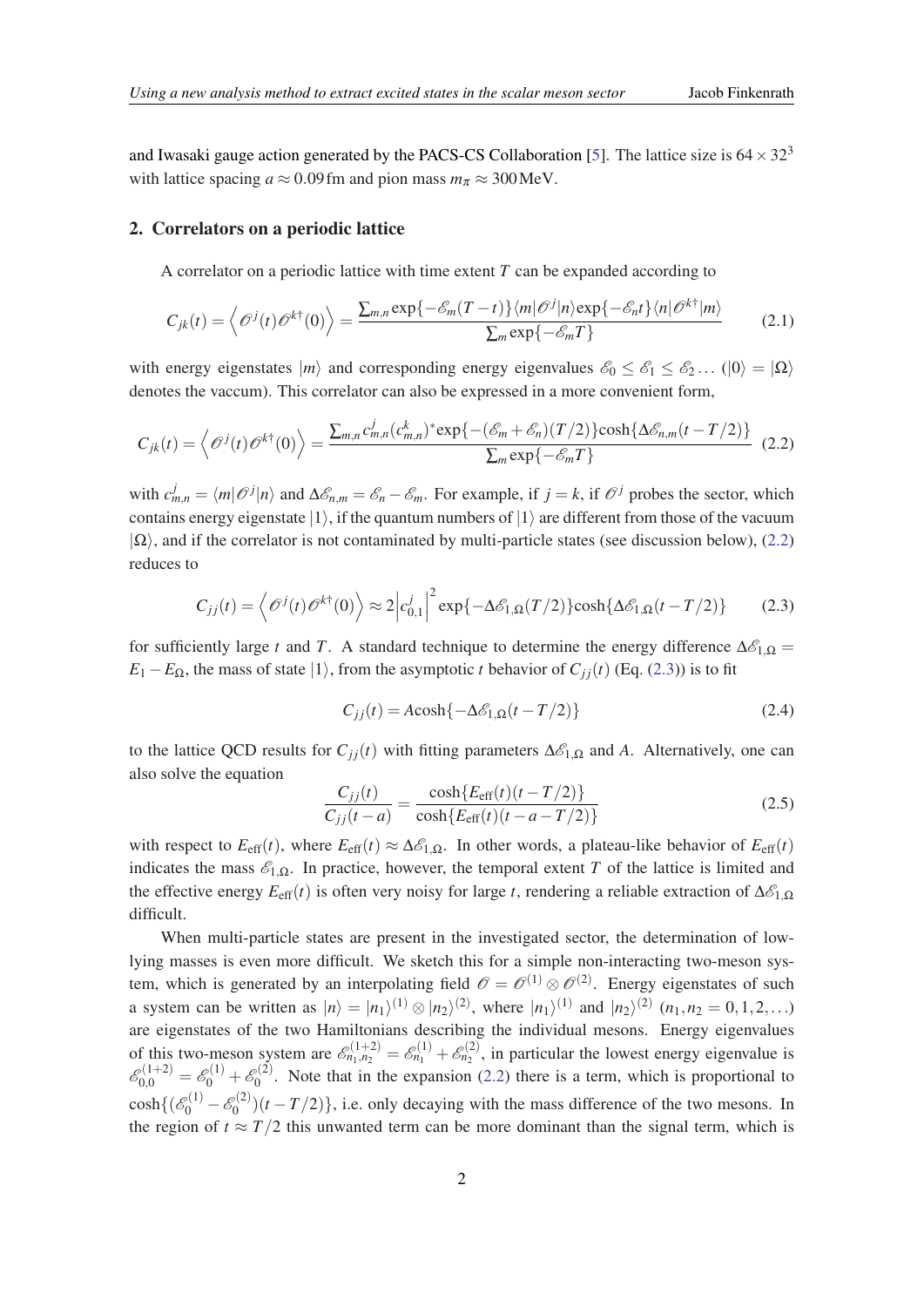<span id="page-2-0"></span>and Iwasaki gauge action generated by the PACS-CS Collaboration [\[5\]](#page-6-0). The lattice size is  $64 \times 32^3$ with lattice spacing  $a \approx 0.09$  fm and pion mass  $m_\pi \approx 300$  MeV.

#### 2. Correlators on a periodic lattice

A correlator on a periodic lattice with time extent *T* can be expanded according to

$$
C_{jk}(t) = \left\langle \mathcal{O}^{j}(t)\mathcal{O}^{k\dagger}(0) \right\rangle = \frac{\sum_{m,n} \exp\{-\mathcal{E}_{m}(T-t)\} \langle m|\mathcal{O}^{j}|n\rangle \exp\{-\mathcal{E}_{n}t\} \langle n|\mathcal{O}^{k\dagger}|m\rangle}{\sum_{m} \exp\{-\mathcal{E}_{m}T\}}
$$
(2.1)

with energy eigenstates  $|m\rangle$  and corresponding energy eigenvalues  $\mathscr{E}_0 \leq \mathscr{E}_1 \leq \mathscr{E}_2 ...$  ( $|0\rangle = |\Omega\rangle$ ) denotes the vaccum). This correlator can also be expressed in a more convenient form,

$$
C_{jk}(t) = \left\langle \mathcal{O}^{j}(t)\mathcal{O}^{k\dagger}(0)\right\rangle = \frac{\sum_{m,n} c_{m,n}^{j}(c_{m,n}^{k})^* \exp\{-\left(\mathcal{E}_{m} + \mathcal{E}_{n}\right)(T/2)\} \cosh\{\Delta \mathcal{E}_{n,m}(t - T/2)\}}{\sum_{m} \exp\{-\mathcal{E}_{m}T\}}
$$
(2.2)

with  $c_{m,n}^j = \langle m | \mathcal{O}^j | n \rangle$  and  $\Delta \mathcal{E}_{n,m} = \mathcal{E}_n - \mathcal{E}_m$ . For example, if  $j = k$ , if  $\mathcal{O}^j$  probes the sector, which contains energy eigenstate  $|1\rangle$ , if the quantum numbers of  $|1\rangle$  are different from those of the vacuum  $|\Omega\rangle$ , and if the correlator is not contaminated by multi-particle states (see discussion below), (2.2) reduces to

$$
C_{jj}(t) = \left\langle \mathcal{O}^{j}(t)\mathcal{O}^{k\dagger}(0) \right\rangle \approx 2 \left| c_{0,1}^{j} \right|^{2} \exp\{-\Delta \mathcal{E}_{1,\Omega}(T/2)\} \cosh\{\Delta \mathcal{E}_{1,\Omega}(t - T/2)\}
$$
(2.3)

for sufficiently large *t* and *T*. A standard technique to determine the energy difference  $\Delta \mathcal{E}_{1,\Omega} =$  $E_1 - E_{\Omega}$ , the mass of state  $|1\rangle$ , from the asymptotic *t* behavior of  $C_{ij}(t)$  (Eq. (2.3)) is to fit

$$
C_{jj}(t) = A \cosh\{-\Delta \mathcal{E}_{1,\Omega}(t - T/2)\}\tag{2.4}
$$

to the lattice QCD results for  $C_{ji}(t)$  with fitting parameters  $\Delta \mathcal{E}_{1,\Omega}$  and A. Alternatively, one can also solve the equation

$$
\frac{C_{jj}(t)}{C_{jj}(t-a)} = \frac{\cosh\{E_{\text{eff}}(t)(t-T/2)\}}{\cosh\{E_{\text{eff}}(t)(t-a-T/2)\}}
$$
(2.5)

with respect to  $E_{\text{eff}}(t)$ , where  $E_{\text{eff}}(t) \approx \Delta \mathcal{E}_{1,\Omega}$ . In other words, a plateau-like behavior of  $E_{\text{eff}}(t)$ indicates the mass  $\mathcal{E}_{1,\Omega}$ . In practice, however, the temporal extent *T* of the lattice is limited and the effective energy  $E_{\text{eff}}(t)$  is often very noisy for large *t*, rendering a reliable extraction of  $\Delta \mathcal{E}_{1,\Omega}$ difficult.

When multi-particle states are present in the investigated sector, the determination of lowlying masses is even more difficult. We sketch this for a simple non-interacting two-meson system, which is generated by an interpolating field  $\mathscr{O} = \mathscr{O}^{(1)} \otimes \mathscr{O}^{(2)}$ . Energy eigenstates of such a system can be written as  $|n\rangle = |n_1\rangle^{(1)} \otimes |n_2\rangle^{(2)}$ , where  $|n_1\rangle^{(1)}$  and  $|n_2\rangle^{(2)}$   $(n_1, n_2 = 0, 1, 2, ...)$ are eigenstates of the two Hamiltonians describing the individual mesons. Energy eigenvalues of this two-meson system are  $\mathscr{E}_{n_1,n_2}^{(1+2)} = \mathscr{E}_{n_1}^{(1)} + \mathscr{E}_{n_2}^{(2)}$ , in particular the lowest energy eigenvalue is  $\mathscr{E}^{(1+2)}_{0,0}=\mathscr{E}^{(1)}_0+\mathscr{E}^{(2)}_0$  $\int_0^{\infty/2}$ . Note that in the expansion (2.2) there is a term, which is proportional to  $\cosh\{(\mathscr{E}_0^{(1)}-\mathscr{E}_0^{(2)}\}$  $\binom{1}{0}(t-T/2)$ , i.e. only decaying with the mass difference of the two mesons. In the region of  $t \approx T/2$  this unwanted term can be more dominant than the signal term, which is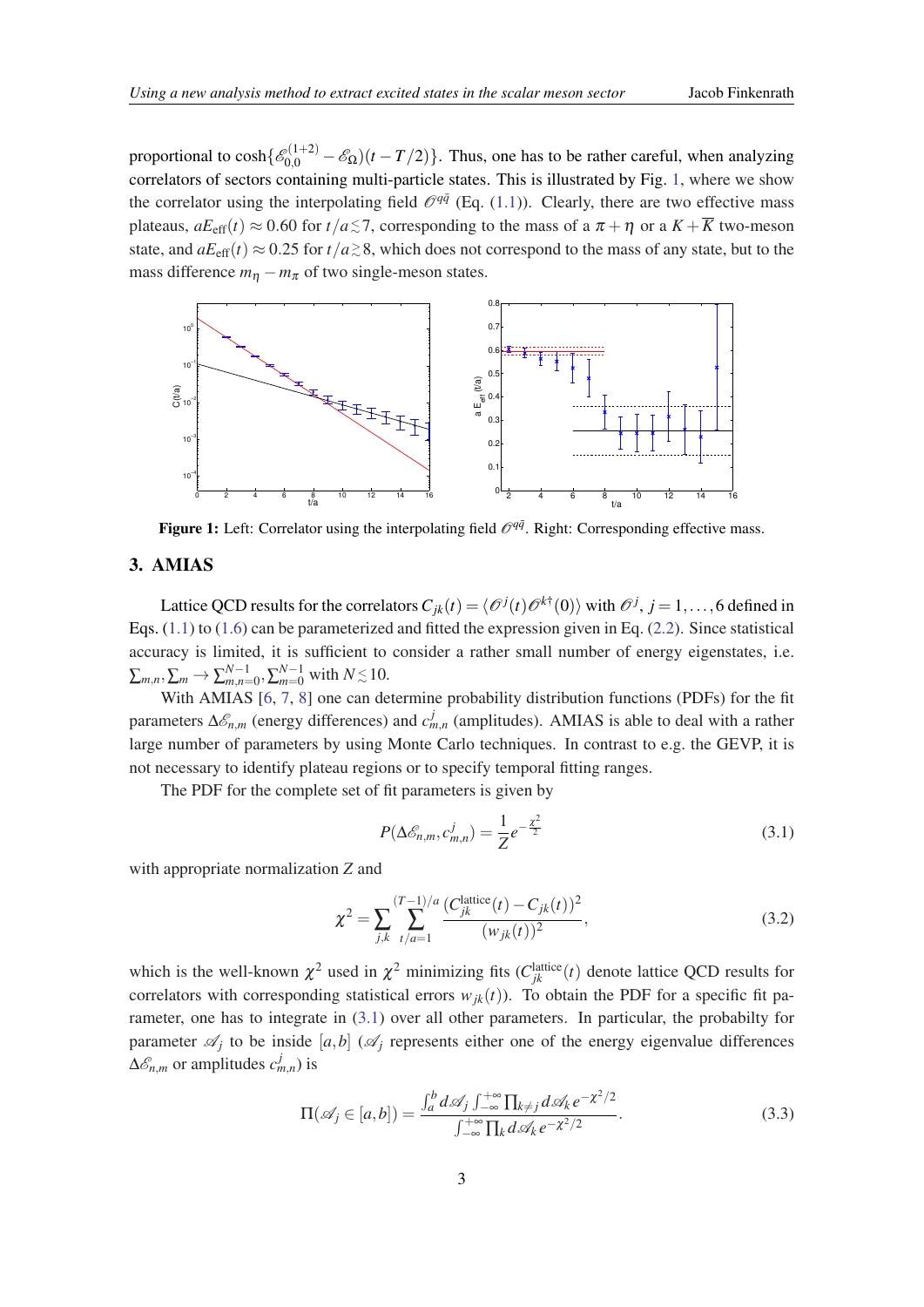<span id="page-3-0"></span>proportional to  $\cosh\{\mathscr{E}_{0,0}^{(1+2)} - \mathscr{E}_{\Omega}\}(t-T/2)\}$ . Thus, one has to be rather careful, when analyzing correlators of sectors containing multi-particle states. This is illustrated by Fig. 1, where we show the correlator using the interpolating field  $\mathcal{O}^{q\bar{q}}$  (Eq. [\(1.1](#page-1-0))). Clearly, there are two effective mass plateaus,  $aE_{\text{eff}}(t) \approx 0.60$  for  $t/a \lesssim 7$ , corresponding to the mass of a  $\pi + \eta$  or a  $K + \overline{K}$  two-meson state, and  $aE_{\text{eff}}(t) \approx 0.25$  for  $t/a \gtrsim 8$ , which does not correspond to the mass of any state, but to the mass difference  $m_{\eta} - m_{\pi}$  of two single-meson states.



Figure 1: Left: Correlator using the interpolating field  $\mathcal{O}^{q\bar{q}}$ . Right: Corresponding effective mass.

### 3. AMIAS

Lattice QCD results for the correlators  $C_{jk}(t) = \langle \mathcal{O}^j(t)\mathcal{O}^{k\dagger}(0)\rangle$  with  $\mathcal{O}^j$ ,  $j = 1,\ldots,6$  defined in Eqs. [\(1.1\)](#page-1-0) to [\(1.6\)](#page-1-0) can be parameterized and fitted the expression given in Eq. ([2.2\)](#page-2-0). Since statistical accuracy is limited, it is sufficient to consider a rather small number of energy eigenstates, i.e.  $\sum_{m,n}, \sum_{m} \rightarrow \sum_{m,n=0}^{N-1}, \sum_{m=0}^{N-1}$  with  $N \, {\lesssim} \, 10$ .

With AMIAS [[6](#page-6-0), [7,](#page-6-0) [8\]](#page-6-0) one can determine probability distribution functions (PDFs) for the fit parameters ∆ $\mathscr{E}_{n,m}$  (energy differences) and  $c_{m,n}^j$  (amplitudes). AMIAS is able to deal with a rather large number of parameters by using Monte Carlo techniques. In contrast to e.g. the GEVP, it is not necessary to identify plateau regions or to specify temporal fitting ranges.

The PDF for the complete set of fit parameters is given by

$$
P(\Delta \mathcal{E}_{n,m}, c_{m,n}^j) = \frac{1}{Z} e^{-\frac{\chi^2}{2}}
$$
\n(3.1)

with appropriate normalization *Z* and

$$
\chi^{2} = \sum_{j,k} \sum_{t/a=1}^{(T-1)/a} \frac{(C_{jk}^{\text{lattice}}(t) - C_{jk}(t))^{2}}{(w_{jk}(t))^{2}},
$$
\n(3.2)

which is the well-known  $\chi^2$  used in  $\chi^2$  minimizing fits  $(C_{jk}^{\text{lattice}}(t)$  denote lattice QCD results for correlators with corresponding statistical errors  $w_{ik}(t)$ ). To obtain the PDF for a specific fit parameter, one has to integrate in (3.1) over all other parameters. In particular, the probabilty for parameter  $\mathscr{A}_j$  to be inside  $[a,b]$  ( $\mathscr{A}_j$  represents either one of the energy eigenvalue differences  $\Delta \mathcal{E}_{n,m}$  or amplitudes  $c_{m,n}^{j}$ ) is

$$
\Pi(\mathscr{A}_j \in [a,b]) = \frac{\int_a^b d\mathscr{A}_j \int_{-\infty}^{+\infty} \prod_{k \neq j} d\mathscr{A}_k e^{-\mathscr{X}^2/2}}{\int_{-\infty}^{+\infty} \prod_k d\mathscr{A}_k e^{-\mathscr{X}^2/2}}.
$$
\n(3.3)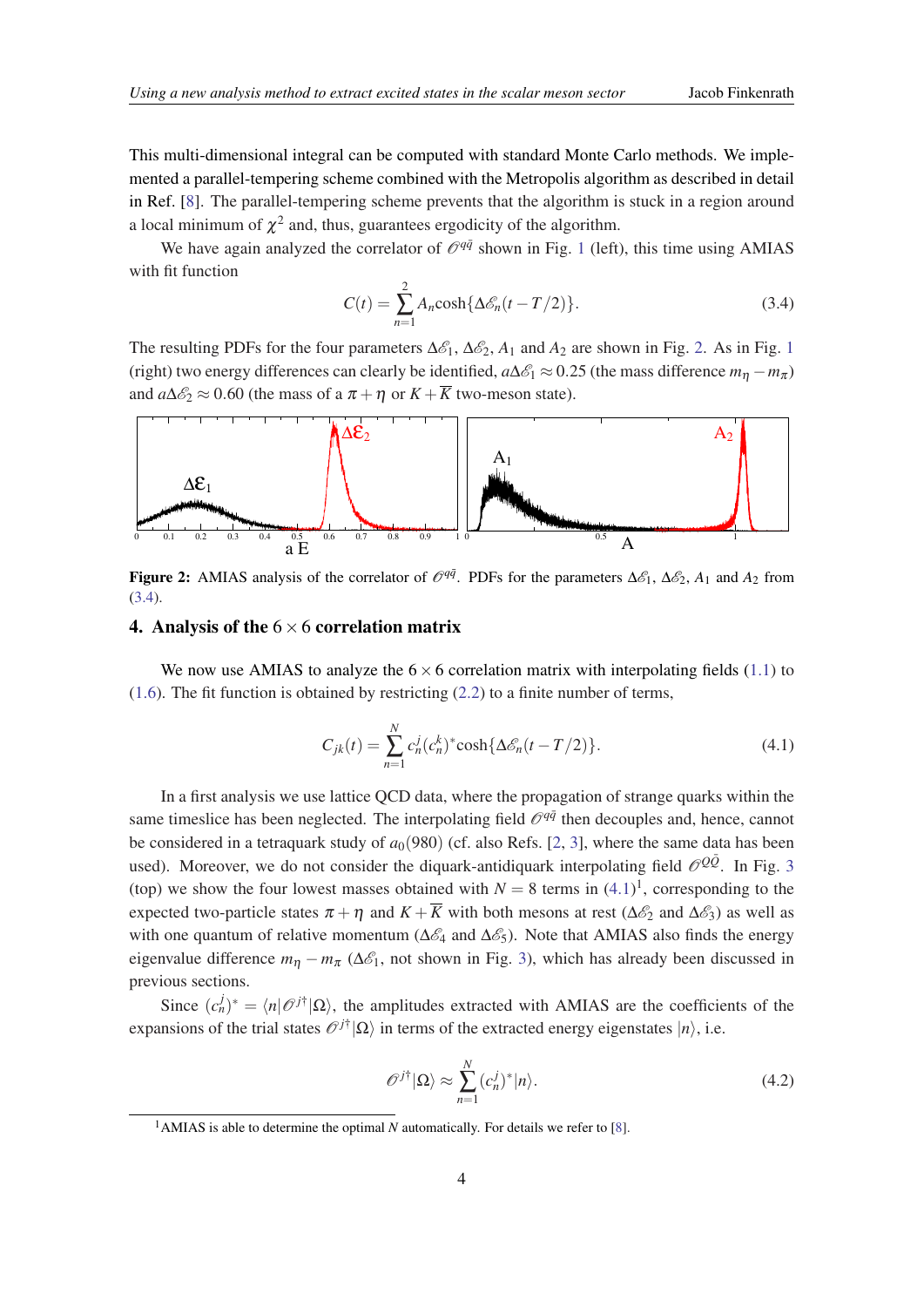<span id="page-4-0"></span>This multi-dimensional integral can be computed with standard Monte Carlo methods. We implemented a parallel-tempering scheme combined with the Metropolis algorithm as described in detail in Ref. [[8](#page-6-0)]. The parallel-tempering scheme prevents that the algorithm is stuck in a region around a local minimum of  $\chi^2$  and, thus, guarantees ergodicity of the algorithm.

We have again analyzed the correlator of  $\mathcal{O}^{q\bar{q}}$  shown in Fig. [1](#page-3-0) (left), this time using AMIAS with fit function

$$
C(t) = \sum_{n=1}^{2} A_n \cosh\{\Delta \mathcal{E}_n(t - T/2)\}.
$$
\n(3.4)

The resulting PDFs for the four parameters  $\Delta \mathcal{E}_1$  $\Delta \mathcal{E}_1$ ,  $\Delta \mathcal{E}_2$ ,  $A_1$  and  $A_2$  are shown in Fig. 2. As in Fig. 1 (right) two energy differences can clearly be identified,  $a\Delta\mathscr{E}_1 \approx 0.25$  (the mass difference  $m_n - m_\pi$ ) and  $a\Delta\mathcal{E}_2 \approx 0.60$  (the mass of a  $\pi + \eta$  or  $K + \overline{K}$  two-meson state).



Figure 2: AMIAS analysis of the correlator of  $\mathcal{O}^{q\bar{q}}$ . PDFs for the parameters  $\Delta \mathcal{E}_1$ ,  $\Delta \mathcal{E}_2$ ,  $A_1$  and  $A_2$  from (3.4).

### 4. Analysis of the  $6 \times 6$  correlation matrix

We now use AMIAS to analyze the  $6 \times 6$  correlation matrix with interpolating fields [\(1.1\)](#page-1-0) to ([1.6\)](#page-1-0). The fit function is obtained by restricting [\(2.2](#page-2-0)) to a finite number of terms,

$$
C_{jk}(t) = \sum_{n=1}^{N} c_n^j (c_n^k)^* \cosh\{\Delta \mathcal{E}_n(t - T/2)\}.
$$
 (4.1)

In a first analysis we use lattice QCD data, where the propagation of strange quarks within the same timeslice has been neglected. The interpolating field  $\mathcal{O}^{q\bar{q}}$  then decouples and, hence, cannot be considered in a tetraquark study of  $a<sub>0</sub>(980)$  (cf. also Refs. [\[2,](#page-6-0) [3\]](#page-6-0), where the same data has been used). Moreover, we do not consider the diquark-antidiquark interpolating field  $\mathcal{O}^{Q\bar{Q}}$ . In Fig. [3](#page-5-0) (top) we show the four lowest masses obtained with  $N = 8$  terms in  $(4.1)^1$ , corresponding to the expected two-particle states  $\pi + \eta$  and  $K + \overline{K}$  with both mesons at rest ( $\Delta \mathscr{E}_2$  and  $\Delta \mathscr{E}_3$ ) as well as with one quantum of relative momentum ( $\Delta \mathcal{E}_4$  and  $\Delta \mathcal{E}_5$ ). Note that AMIAS also finds the energy eigenvalue difference  $m_n - m_\pi$  ( $\Delta \mathcal{E}_1$ , not shown in Fig. [3](#page-5-0)), which has already been discussed in previous sections.

Since  $(c_n^j)^* = \langle n | \mathcal{O}^{j\dagger} | \Omega \rangle$ , the amplitudes extracted with AMIAS are the coefficients of the expansions of the trial states  $\mathcal{O}^{j\dagger}|\Omega\rangle$  in terms of the extracted energy eigenstates  $|n\rangle$ , i.e.

$$
\mathcal{O}^{j\dagger}|\Omega\rangle \approx \sum_{n=1}^{N} (c_n^j)^*|n\rangle. \tag{4.2}
$$

<sup>&</sup>lt;sup>1</sup>AMIAS is able to determine the optimal  $N$  automatically. For details we refer to [[8](#page-6-0)].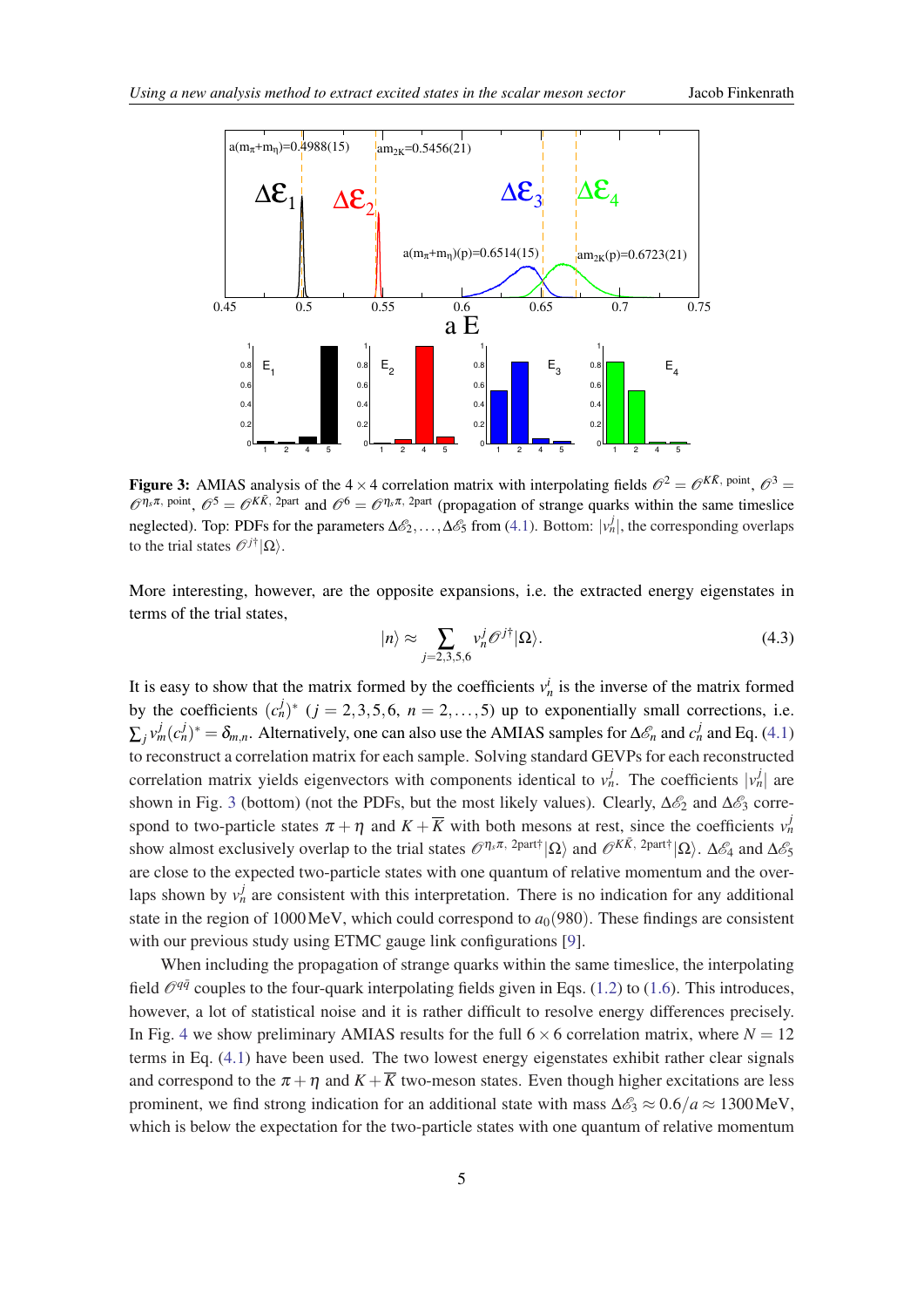<span id="page-5-0"></span>

Figure 3: AMIAS analysis of the  $4 \times 4$  correlation matrix with interpolating fields  $\mathcal{O}^2 = \mathcal{O}^{K\bar{K}$ , point,  $\mathcal{O}^3 =$  $\mathcal{O}^{\eta_s \pi, \text{ point}}$ ,  $\mathcal{O}^5 = \mathcal{O}^{K \bar{K}, 2\text{ part}}$  and  $\mathcal{O}^6 = \mathcal{O}^{\eta_s \pi, 2\text{ part}}$  (propagation of strange quarks within the same timeslice neglected). Top: PDFs for the parameters  $\Delta \mathcal{E}_2, \ldots, \Delta \mathcal{E}_5$  from ([4.1](#page-4-0)). Bottom:  $|v_n^j|$ , the corresponding overlaps to the trial states  $\mathcal{O}^{j\dagger}|\Omega\rangle$ .

More interesting, however, are the opposite expansions, i.e. the extracted energy eigenstates in terms of the trial states,

$$
|n\rangle \approx \sum_{j=2,3,5,6} v_n^j \mathcal{O}^{j\dagger} |\Omega\rangle. \tag{4.3}
$$

It is easy to show that the matrix formed by the coefficients  $v_n^i$  is the inverse of the matrix formed by the coefficients  $(c_n^j)^*$   $(j = 2, 3, 5, 6, n = 2, \ldots, 5)$  up to exponentially small corrections, i.e.  $\sum_j v_m^j (c_n^j)^* = \delta_{m,n}$ . Alternatively, one can also use the AMIAS samples for  $\Delta \mathscr{E}_n$  and  $c_n^j$  and Eq. ([4.1](#page-4-0)) to reconstruct a correlation matrix for each sample. Solving standard GEVPs for each reconstructed correlation matrix yields eigenvectors with components identical to  $v_n^j$ . The coefficients  $|v_n^j|$  are shown in Fig. 3 (bottom) (not the PDFs, but the most likely values). Clearly,  $\Delta \mathscr{E}_2$  and  $\Delta \mathscr{E}_3$  correspond to two-particle states  $\pi + \eta$  and  $K + \overline{K}$  with both mesons at rest, since the coefficients  $v_n^j$ show almost exclusively overlap to the trial states  $\mathcal{O}^{\eta_s \pi, 2$ part†| $\Omega$ <sup>i</sup> and  $\mathcal{O}^{K\bar{K}, 2$ part†| $\Omega$ <sup>i</sup>.  $\Delta \mathcal{E}_4$  and  $\Delta \mathcal{E}_5$ are close to the expected two-particle states with one quantum of relative momentum and the overlaps shown by  $v_n^j$  are consistent with this interpretation. There is no indication for any additional state in the region of 1000 MeV, which could correspond to  $a_0(980)$ . These findings are consistent with our previous study using ETMC gauge link configurations [[9](#page-6-0)].

When including the propagation of strange quarks within the same timeslice, the interpolating field  $\mathcal{O}^{q\bar{q}}$  couples to the four-quark interpolating fields given in Eqs. [\(1.2\)](#page-1-0) to ([1.6](#page-1-0)). This introduces, however, a lot of statistical noise and it is rather difficult to resolve energy differences precisely. In Fig. [4](#page-6-0) we show preliminary AMIAS results for the full  $6 \times 6$  correlation matrix, where  $N = 12$ terms in Eq. [\(4.1\)](#page-4-0) have been used. The two lowest energy eigenstates exhibit rather clear signals and correspond to the  $\pi + \eta$  and  $K + \overline{K}$  two-meson states. Even though higher excitations are less prominent, we find strong indication for an additional state with mass  $\Delta \mathcal{E}_3 \approx 0.6/a \approx 1300 \text{MeV}$ , which is below the expectation for the two-particle states with one quantum of relative momentum